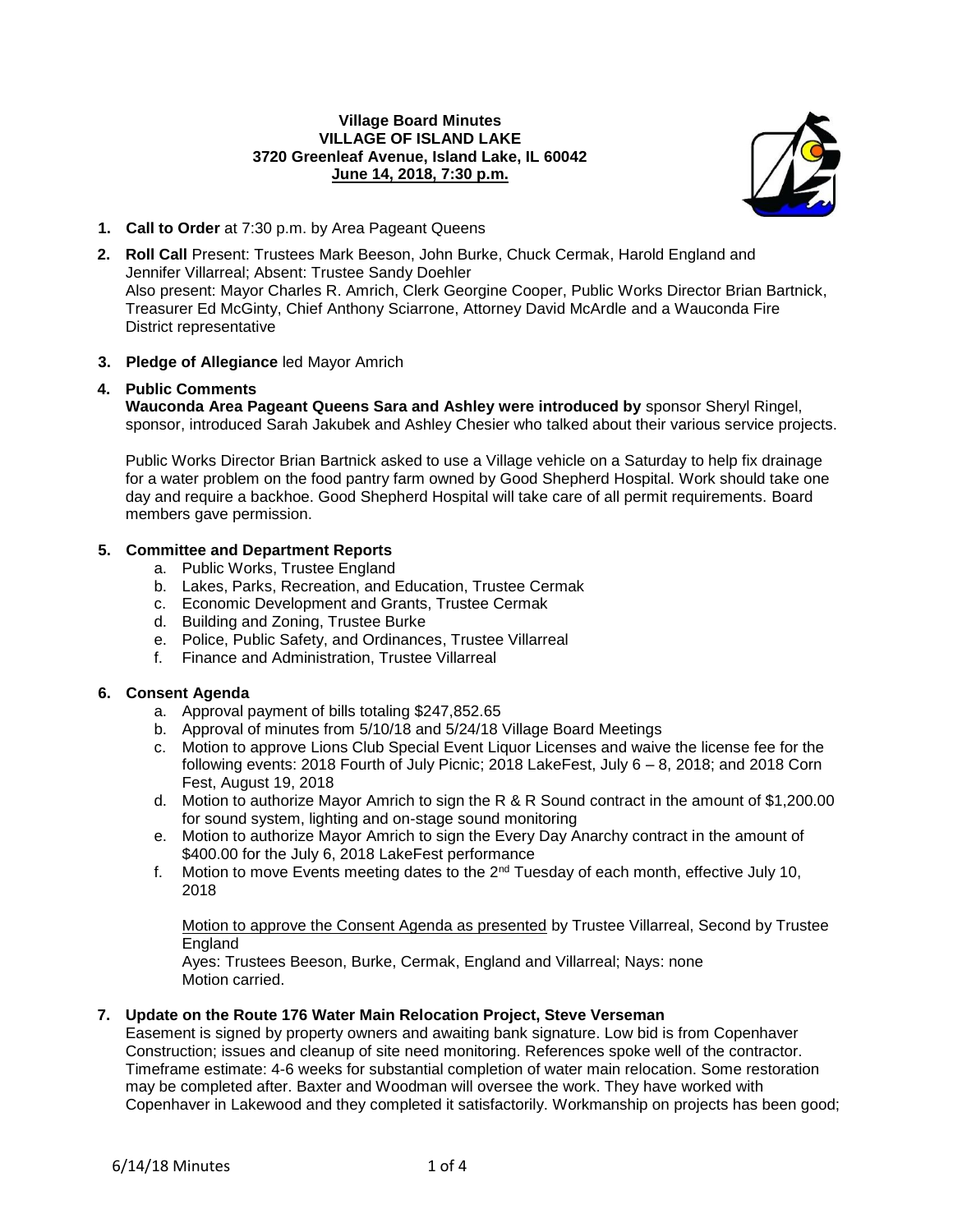## **Village Board Minutes VILLAGE OF ISLAND LAKE 3720 Greenleaf Avenue, Island Lake, IL 60042 June 14, 2018, 7:30 p.m.**



- **1. Call to Order** at 7:30 p.m. by Area Pageant Queens
- **2. Roll Call** Present: Trustees Mark Beeson, John Burke, Chuck Cermak, Harold England and Jennifer Villarreal; Absent: Trustee Sandy Doehler Also present: Mayor Charles R. Amrich, Clerk Georgine Cooper, Public Works Director Brian Bartnick, Treasurer Ed McGinty, Chief Anthony Sciarrone, Attorney David McArdle and a Wauconda Fire District representative

# **3. Pledge of Allegiance** led Mayor Amrich

# **4. Public Comments**

**Wauconda Area Pageant Queens Sara and Ashley were introduced by** sponsor Sheryl Ringel, sponsor, introduced Sarah Jakubek and Ashley Chesier who talked about their various service projects.

Public Works Director Brian Bartnick asked to use a Village vehicle on a Saturday to help fix drainage for a water problem on the food pantry farm owned by Good Shepherd Hospital. Work should take one day and require a backhoe. Good Shepherd Hospital will take care of all permit requirements. Board members gave permission.

# **5. Committee and Department Reports**

- a. Public Works, Trustee England
- b. Lakes, Parks, Recreation, and Education, Trustee Cermak
- c. Economic Development and Grants, Trustee Cermak
- d. Building and Zoning, Trustee Burke
- e. Police, Public Safety, and Ordinances, Trustee Villarreal
- f. Finance and Administration, Trustee Villarreal

## **6. Consent Agenda**

- a. Approval payment of bills totaling \$247,852.65
- b. Approval of minutes from 5/10/18 and 5/24/18 Village Board Meetings
- c. Motion to approve Lions Club Special Event Liquor Licenses and waive the license fee for the following events: 2018 Fourth of July Picnic; 2018 LakeFest, July 6 – 8, 2018; and 2018 Corn Fest, August 19, 2018
- d. Motion to authorize Mayor Amrich to sign the R & R Sound contract in the amount of \$1,200.00 for sound system, lighting and on-stage sound monitoring
- e. Motion to authorize Mayor Amrich to sign the Every Day Anarchy contract in the amount of \$400.00 for the July 6, 2018 LakeFest performance
- f. Motion to move Events meeting dates to the  $2^{nd}$  Tuesday of each month, effective July 10, 2018

Motion to approve the Consent Agenda as presented by Trustee Villarreal, Second by Trustee England

Ayes: Trustees Beeson, Burke, Cermak, England and Villarreal; Nays: none Motion carried.

## **7. Update on the Route 176 Water Main Relocation Project, Steve Verseman**

Easement is signed by property owners and awaiting bank signature. Low bid is from Copenhaver Construction; issues and cleanup of site need monitoring. References spoke well of the contractor. Timeframe estimate: 4-6 weeks for substantial completion of water main relocation. Some restoration may be completed after. Baxter and Woodman will oversee the work. They have worked with Copenhaver in Lakewood and they completed it satisfactorily. Workmanship on projects has been good;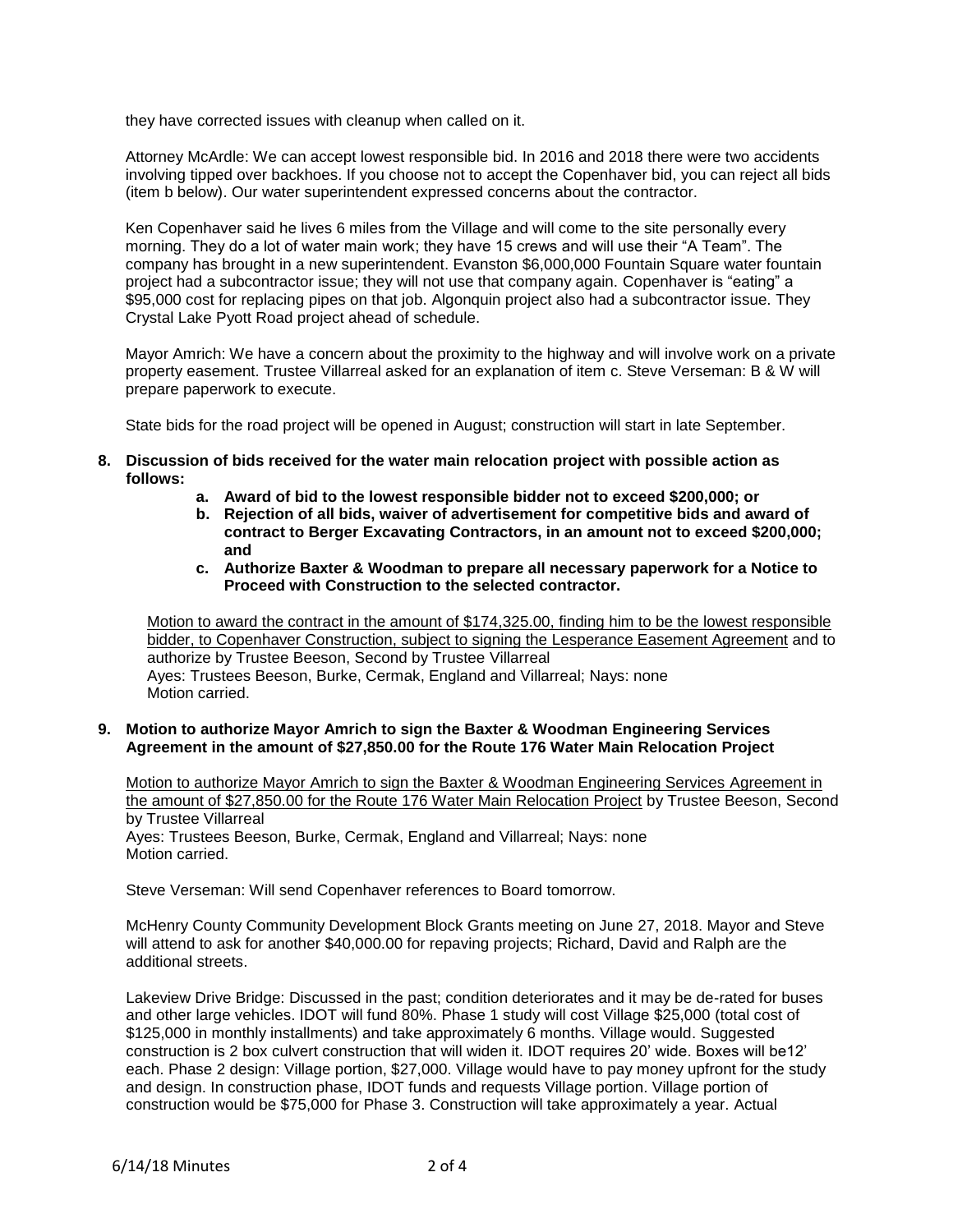they have corrected issues with cleanup when called on it.

Attorney McArdle: We can accept lowest responsible bid. In 2016 and 2018 there were two accidents involving tipped over backhoes. If you choose not to accept the Copenhaver bid, you can reject all bids (item b below). Our water superintendent expressed concerns about the contractor.

Ken Copenhaver said he lives 6 miles from the Village and will come to the site personally every morning. They do a lot of water main work; they have 15 crews and will use their "A Team". The company has brought in a new superintendent. Evanston \$6,000,000 Fountain Square water fountain project had a subcontractor issue; they will not use that company again. Copenhaver is "eating" a \$95,000 cost for replacing pipes on that job. Algonquin project also had a subcontractor issue. They Crystal Lake Pyott Road project ahead of schedule.

Mayor Amrich: We have a concern about the proximity to the highway and will involve work on a private property easement. Trustee Villarreal asked for an explanation of item c. Steve Verseman: B & W will prepare paperwork to execute.

State bids for the road project will be opened in August; construction will start in late September.

- **8. Discussion of bids received for the water main relocation project with possible action as follows:**
	- **a. Award of bid to the lowest responsible bidder not to exceed \$200,000; or**
	- **b. Rejection of all bids, waiver of advertisement for competitive bids and award of contract to Berger Excavating Contractors, in an amount not to exceed \$200,000; and**
	- **c. Authorize Baxter & Woodman to prepare all necessary paperwork for a Notice to Proceed with Construction to the selected contractor.**

Motion to award the contract in the amount of \$174,325.00, finding him to be the lowest responsible bidder, to Copenhaver Construction, subject to signing the Lesperance Easement Agreement and to authorize by Trustee Beeson, Second by Trustee Villarreal Ayes: Trustees Beeson, Burke, Cermak, England and Villarreal; Nays: none Motion carried.

#### **9. Motion to authorize Mayor Amrich to sign the Baxter & Woodman Engineering Services Agreement in the amount of \$27,850.00 for the Route 176 Water Main Relocation Project**

Motion to authorize Mayor Amrich to sign the Baxter & Woodman Engineering Services Agreement in the amount of \$27,850.00 for the Route 176 Water Main Relocation Project by Trustee Beeson, Second by Trustee Villarreal

Ayes: Trustees Beeson, Burke, Cermak, England and Villarreal; Nays: none Motion carried.

Steve Verseman: Will send Copenhaver references to Board tomorrow.

McHenry County Community Development Block Grants meeting on June 27, 2018. Mayor and Steve will attend to ask for another \$40,000.00 for repaving projects; Richard, David and Ralph are the additional streets.

Lakeview Drive Bridge: Discussed in the past; condition deteriorates and it may be de-rated for buses and other large vehicles. IDOT will fund 80%. Phase 1 study will cost Village \$25,000 (total cost of \$125,000 in monthly installments) and take approximately 6 months. Village would. Suggested construction is 2 box culvert construction that will widen it. IDOT requires 20' wide. Boxes will be12' each. Phase 2 design: Village portion, \$27,000. Village would have to pay money upfront for the study and design. In construction phase, IDOT funds and requests Village portion. Village portion of construction would be \$75,000 for Phase 3. Construction will take approximately a year. Actual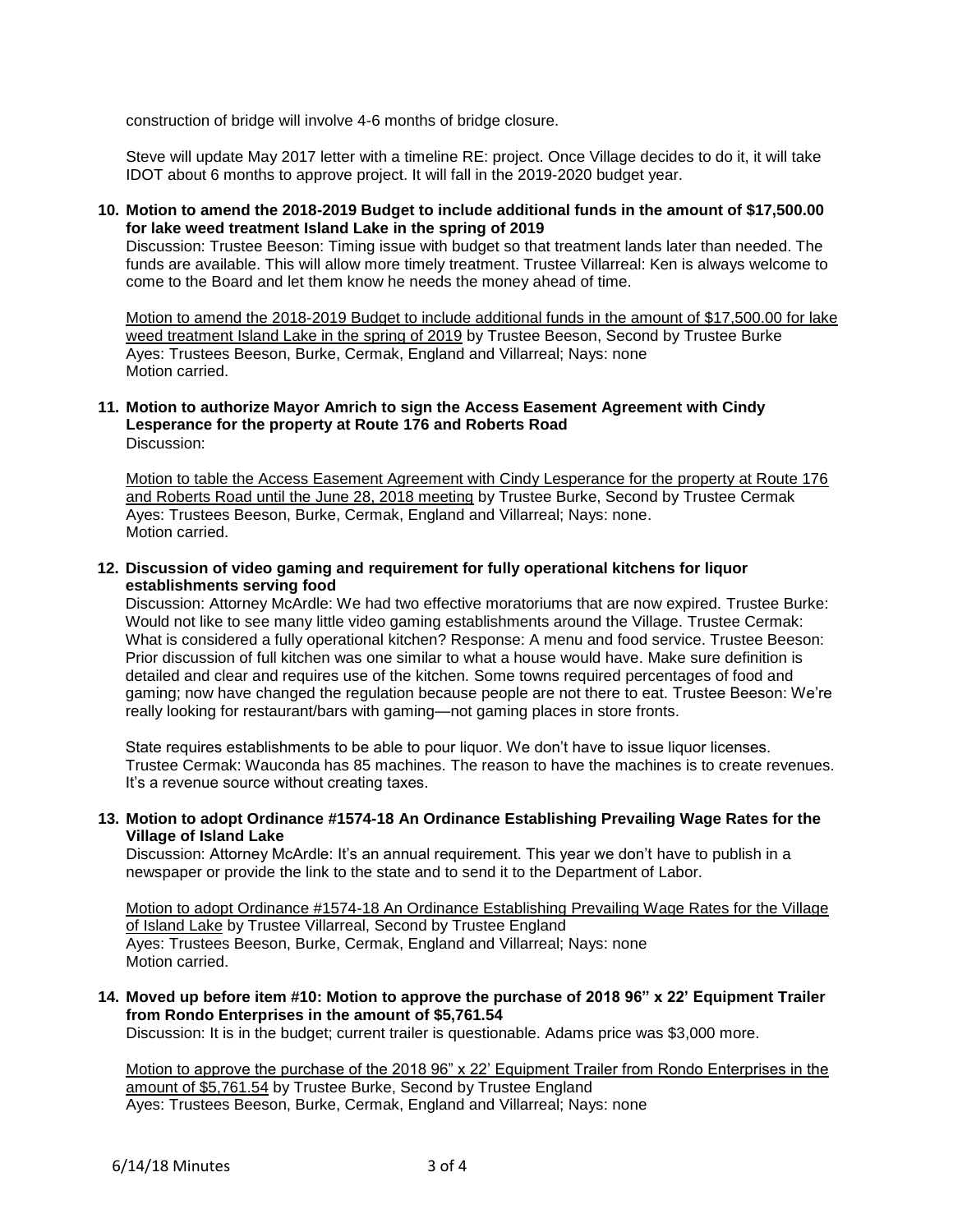construction of bridge will involve 4-6 months of bridge closure.

Steve will update May 2017 letter with a timeline RE: project. Once Village decides to do it, it will take IDOT about 6 months to approve project. It will fall in the 2019-2020 budget year.

## **10. Motion to amend the 2018-2019 Budget to include additional funds in the amount of \$17,500.00 for lake weed treatment Island Lake in the spring of 2019**

Discussion: Trustee Beeson: Timing issue with budget so that treatment lands later than needed. The funds are available. This will allow more timely treatment. Trustee Villarreal: Ken is always welcome to come to the Board and let them know he needs the money ahead of time.

Motion to amend the 2018-2019 Budget to include additional funds in the amount of \$17,500.00 for lake weed treatment Island Lake in the spring of 2019 by Trustee Beeson, Second by Trustee Burke Ayes: Trustees Beeson, Burke, Cermak, England and Villarreal; Nays: none Motion carried.

#### **11. Motion to authorize Mayor Amrich to sign the Access Easement Agreement with Cindy Lesperance for the property at Route 176 and Roberts Road** Discussion:

Motion to table the Access Easement Agreement with Cindy Lesperance for the property at Route 176 and Roberts Road until the June 28, 2018 meeting by Trustee Burke, Second by Trustee Cermak Ayes: Trustees Beeson, Burke, Cermak, England and Villarreal; Nays: none. Motion carried.

#### **12. Discussion of video gaming and requirement for fully operational kitchens for liquor establishments serving food**

Discussion: Attorney McArdle: We had two effective moratoriums that are now expired. Trustee Burke: Would not like to see many little video gaming establishments around the Village. Trustee Cermak: What is considered a fully operational kitchen? Response: A menu and food service. Trustee Beeson: Prior discussion of full kitchen was one similar to what a house would have. Make sure definition is detailed and clear and requires use of the kitchen. Some towns required percentages of food and gaming; now have changed the regulation because people are not there to eat. Trustee Beeson: We're really looking for restaurant/bars with gaming—not gaming places in store fronts.

State requires establishments to be able to pour liquor. We don't have to issue liquor licenses. Trustee Cermak: Wauconda has 85 machines. The reason to have the machines is to create revenues. It's a revenue source without creating taxes.

## **13. Motion to adopt Ordinance #1574-18 An Ordinance Establishing Prevailing Wage Rates for the Village of Island Lake**

Discussion: Attorney McArdle: It's an annual requirement. This year we don't have to publish in a newspaper or provide the link to the state and to send it to the Department of Labor.

Motion to adopt Ordinance #1574-18 An Ordinance Establishing Prevailing Wage Rates for the Village of Island Lake by Trustee Villarreal, Second by Trustee England Ayes: Trustees Beeson, Burke, Cermak, England and Villarreal; Nays: none Motion carried.

# **14. Moved up before item #10: Motion to approve the purchase of 2018 96" x 22' Equipment Trailer from Rondo Enterprises in the amount of \$5,761.54**

Discussion: It is in the budget; current trailer is questionable. Adams price was \$3,000 more.

Motion to approve the purchase of the 2018 96" x 22' Equipment Trailer from Rondo Enterprises in the amount of \$5,761.54 by Trustee Burke, Second by Trustee England Ayes: Trustees Beeson, Burke, Cermak, England and Villarreal; Nays: none